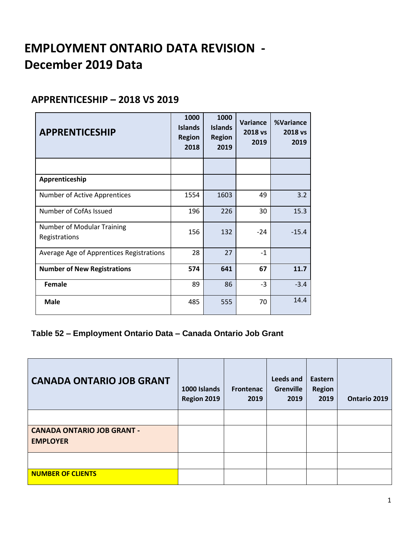# **EMPLOYMENT ONTARIO DATA REVISION - December 2019 Data**

#### **APPRENTICESHIP – 2018 VS 2019**

| <b>APPRENTICESHIP</b>                       | 1000<br><b>Islands</b><br><b>Region</b><br>2018 | 1000<br><b>Islands</b><br><b>Region</b><br>2019 | Variance<br>2018 vs<br>2019 | %Variance<br>2018 vs<br>2019 |
|---------------------------------------------|-------------------------------------------------|-------------------------------------------------|-----------------------------|------------------------------|
|                                             |                                                 |                                                 |                             |                              |
| Apprenticeship                              |                                                 |                                                 |                             |                              |
| <b>Number of Active Apprentices</b>         | 1554                                            | 1603                                            | 49                          | 3.2                          |
| Number of CofAs Issued                      | 196                                             | 226                                             | 30                          | 15.3                         |
| Number of Modular Training<br>Registrations | 156                                             | 132                                             | $-24$                       | $-15.4$                      |
| Average Age of Apprentices Registrations    | 28                                              | 27                                              | $-1$                        |                              |
| <b>Number of New Registrations</b>          | 574                                             | 641                                             | 67                          | 11.7                         |
| <b>Female</b>                               | 89                                              | 86                                              | $-3$                        | $-3.4$                       |
| <b>Male</b>                                 | 485                                             | 555                                             | 70                          | 14.4                         |

#### **Table 52 – Employment Ontario Data – Canada Ontario Job Grant**

| <b>CANADA ONTARIO JOB GRANT</b>                      | 1000 Islands<br>Region 2019 | <b>Frontenac</b><br>2019 | Leeds and<br><b>Grenville</b><br>2019 | Eastern<br><b>Region</b><br>2019 | Ontario 2019 |
|------------------------------------------------------|-----------------------------|--------------------------|---------------------------------------|----------------------------------|--------------|
|                                                      |                             |                          |                                       |                                  |              |
| <b>CANADA ONTARIO JOB GRANT -</b><br><b>EMPLOYER</b> |                             |                          |                                       |                                  |              |
|                                                      |                             |                          |                                       |                                  |              |
| <b>NUMBER OF CLIENTS</b>                             |                             |                          |                                       |                                  |              |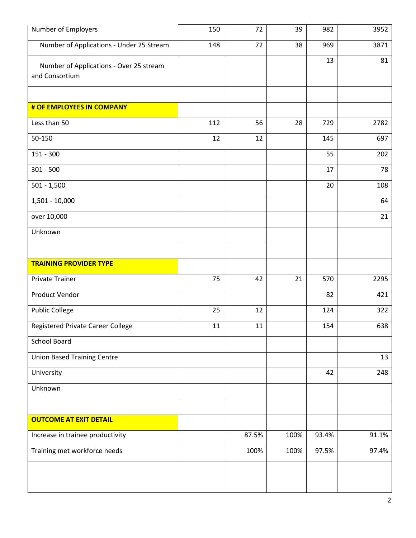| Number of Employers                                       | 150 | 72    | 39   | 982   | 3952  |
|-----------------------------------------------------------|-----|-------|------|-------|-------|
| Number of Applications - Under 25 Stream                  | 148 | 72    | 38   | 969   | 3871  |
| Number of Applications - Over 25 stream<br>and Consortium |     |       |      | 13    | 81    |
|                                                           |     |       |      |       |       |
| # OF EMPLOYEES IN COMPANY                                 |     |       |      |       |       |
| Less than 50                                              | 112 | 56    | 28   | 729   | 2782  |
| 50-150                                                    | 12  | 12    |      | 145   | 697   |
| $151 - 300$                                               |     |       |      | 55    | 202   |
| $301 - 500$                                               |     |       |      | 17    | 78    |
| $501 - 1,500$                                             |     |       |      | 20    | 108   |
| 1,501 - 10,000                                            |     |       |      |       | 64    |
| over 10,000                                               |     |       |      |       | 21    |
| Unknown                                                   |     |       |      |       |       |
|                                                           |     |       |      |       |       |
| <b>TRAINING PROVIDER TYPE</b>                             |     |       |      |       |       |
| <b>Private Trainer</b>                                    | 75  | 42    | 21   | 570   | 2295  |
| <b>Product Vendor</b>                                     |     |       |      | 82    | 421   |
| <b>Public College</b>                                     | 25  | 12    |      | 124   | 322   |
| Registered Private Career College                         | 11  | 11    |      | 154   | 638   |
| <b>School Board</b>                                       |     |       |      |       |       |
| <b>Union Based Training Centre</b>                        |     |       |      |       | 13    |
| University                                                |     |       |      | 42    | 248   |
| Unknown                                                   |     |       |      |       |       |
|                                                           |     |       |      |       |       |
|                                                           |     |       |      |       |       |
| <b>OUTCOME AT EXIT DETAIL</b>                             |     |       |      |       |       |
| Increase in trainee productivity                          |     | 87.5% | 100% | 93.4% | 91.1% |
| Training met workforce needs                              |     | 100%  | 100% | 97.5% | 97.4% |
|                                                           |     |       |      |       |       |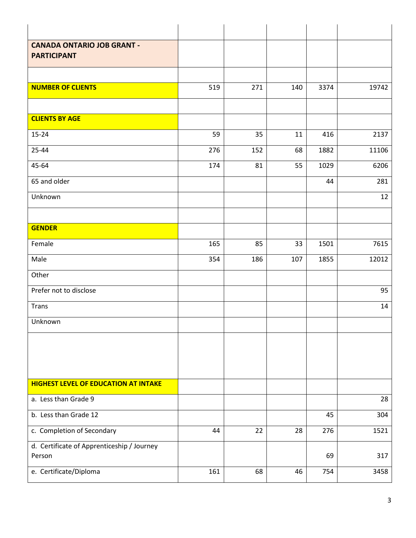| <b>CANADA ONTARIO JOB GRANT -</b>           |     |     |     |      |       |
|---------------------------------------------|-----|-----|-----|------|-------|
| <b>PARTICIPANT</b>                          |     |     |     |      |       |
|                                             |     |     |     |      |       |
| <b>NUMBER OF CLIENTS</b>                    | 519 | 271 | 140 | 3374 | 19742 |
|                                             |     |     |     |      |       |
| <b>CLIENTS BY AGE</b>                       |     |     |     |      |       |
| $15 - 24$                                   | 59  | 35  | 11  | 416  | 2137  |
| 25-44                                       | 276 | 152 | 68  | 1882 | 11106 |
| 45-64                                       | 174 | 81  | 55  | 1029 | 6206  |
| 65 and older                                |     |     |     | 44   | 281   |
| Unknown                                     |     |     |     |      | 12    |
|                                             |     |     |     |      |       |
| <b>GENDER</b>                               |     |     |     |      |       |
| Female                                      | 165 | 85  | 33  | 1501 | 7615  |
| Male                                        | 354 | 186 | 107 | 1855 | 12012 |
| Other                                       |     |     |     |      |       |
| Prefer not to disclose                      |     |     |     |      | 95    |
| <b>Trans</b>                                |     |     |     |      | 14    |
| Unknown                                     |     |     |     |      |       |
|                                             |     |     |     |      |       |
|                                             |     |     |     |      |       |
|                                             |     |     |     |      |       |
| <b>HIGHEST LEVEL OF EDUCATION AT INTAKE</b> |     |     |     |      |       |
| a. Less than Grade 9                        |     |     |     |      | 28    |
| b. Less than Grade 12                       |     |     |     | 45   | 304   |
| c. Completion of Secondary                  | 44  | 22  | 28  | 276  | 1521  |
| d. Certificate of Apprenticeship / Journey  |     |     |     |      |       |
| Person                                      |     |     |     | 69   | 317   |
| e. Certificate/Diploma                      | 161 | 68  | 46  | 754  | 3458  |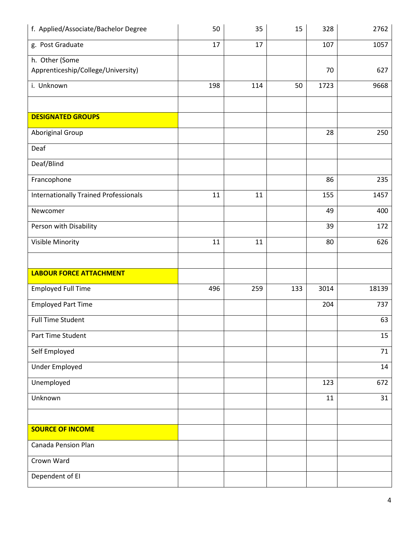| f. Applied/Associate/Bachelor Degree         | 50  | 35  | 15  | 328  | 2762  |
|----------------------------------------------|-----|-----|-----|------|-------|
| g. Post Graduate                             | 17  | 17  |     | 107  | 1057  |
| h. Other (Some                               |     |     |     |      |       |
| Apprenticeship/College/University)           |     |     |     | 70   | 627   |
| i. Unknown                                   | 198 | 114 | 50  | 1723 | 9668  |
|                                              |     |     |     |      |       |
| <b>DESIGNATED GROUPS</b>                     |     |     |     |      |       |
| Aboriginal Group                             |     |     |     | 28   | 250   |
| Deaf                                         |     |     |     |      |       |
| Deaf/Blind                                   |     |     |     |      |       |
| Francophone                                  |     |     |     | 86   | 235   |
| <b>Internationally Trained Professionals</b> | 11  | 11  |     | 155  | 1457  |
| Newcomer                                     |     |     |     | 49   | 400   |
| Person with Disability                       |     |     |     | 39   | 172   |
| Visible Minority                             | 11  | 11  |     | 80   | 626   |
|                                              |     |     |     |      |       |
| <b>LABOUR FORCE ATTACHMENT</b>               |     |     |     |      |       |
| <b>Employed Full Time</b>                    | 496 | 259 | 133 | 3014 | 18139 |
| <b>Employed Part Time</b>                    |     |     |     | 204  | 737   |
| <b>Full Time Student</b>                     |     |     |     |      | 63    |
| Part Time Student                            |     |     |     |      | 15    |
| Self Employed                                |     |     |     |      | 71    |
| <b>Under Employed</b>                        |     |     |     |      | 14    |
| Unemployed                                   |     |     |     | 123  | 672   |
| Unknown                                      |     |     |     | 11   | 31    |
|                                              |     |     |     |      |       |
| <b>SOURCE OF INCOME</b>                      |     |     |     |      |       |
| Canada Pension Plan                          |     |     |     |      |       |
| Crown Ward                                   |     |     |     |      |       |
| Dependent of EI                              |     |     |     |      |       |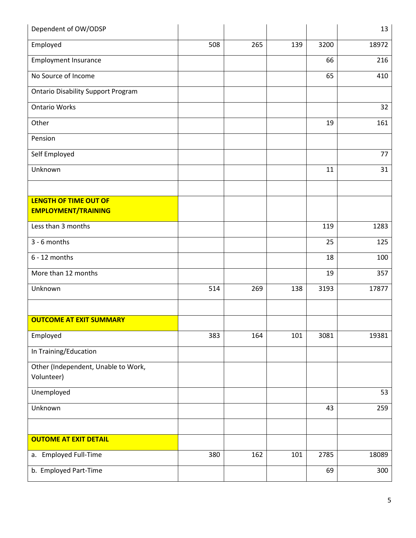| Dependent of OW/ODSP                              |     |     |     |      | 13    |
|---------------------------------------------------|-----|-----|-----|------|-------|
| Employed                                          | 508 | 265 | 139 | 3200 | 18972 |
| <b>Employment Insurance</b>                       |     |     |     | 66   | 216   |
| No Source of Income                               |     |     |     | 65   | 410   |
| <b>Ontario Disability Support Program</b>         |     |     |     |      |       |
| <b>Ontario Works</b>                              |     |     |     |      | 32    |
| Other                                             |     |     |     | 19   | 161   |
| Pension                                           |     |     |     |      |       |
| Self Employed                                     |     |     |     |      | 77    |
| Unknown                                           |     |     |     | 11   | 31    |
|                                                   |     |     |     |      |       |
| <b>LENGTH OF TIME OUT OF</b>                      |     |     |     |      |       |
| <b>EMPLOYMENT/TRAINING</b>                        |     |     |     |      |       |
| Less than 3 months                                |     |     |     | 119  | 1283  |
| 3 - 6 months                                      |     |     |     | 25   | 125   |
| $6 - 12$ months                                   |     |     |     | 18   | 100   |
| More than 12 months                               |     |     |     | 19   | 357   |
| Unknown                                           | 514 | 269 | 138 | 3193 | 17877 |
|                                                   |     |     |     |      |       |
| <b>OUTCOME AT EXIT SUMMARY</b>                    |     |     |     |      |       |
| Employed                                          | 383 | 164 | 101 | 3081 | 19381 |
| In Training/Education                             |     |     |     |      |       |
| Other (Independent, Unable to Work,<br>Volunteer) |     |     |     |      |       |
| Unemployed                                        |     |     |     |      | 53    |
| Unknown                                           |     |     |     | 43   | 259   |
|                                                   |     |     |     |      |       |
| <b>OUTOME AT EXIT DETAIL</b>                      |     |     |     |      |       |
| a. Employed Full-Time                             | 380 | 162 | 101 | 2785 | 18089 |
| b. Employed Part-Time                             |     |     |     | 69   | 300   |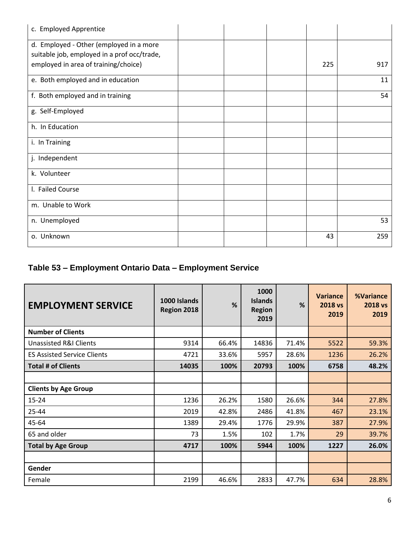| c. Employed Apprentice                                                                 |  |     |     |
|----------------------------------------------------------------------------------------|--|-----|-----|
| d. Employed - Other (employed in a more<br>suitable job, employed in a prof occ/trade, |  |     |     |
| employed in area of training/choice)                                                   |  | 225 | 917 |
| e. Both employed and in education                                                      |  |     | 11  |
| f. Both employed and in training                                                       |  |     | 54  |
| g. Self-Employed                                                                       |  |     |     |
| h. In Education                                                                        |  |     |     |
| i. In Training                                                                         |  |     |     |
| j. Independent                                                                         |  |     |     |
| k. Volunteer                                                                           |  |     |     |
| I. Failed Course                                                                       |  |     |     |
| m. Unable to Work                                                                      |  |     |     |
| n. Unemployed                                                                          |  |     | 53  |
| o. Unknown                                                                             |  | 43  | 259 |

## **Table 53 – Employment Ontario Data – Employment Service**

| <b>EMPLOYMENT SERVICE</b>          | 1000 Islands<br>Region 2018 | %     | 1000<br><b>Islands</b><br><b>Region</b><br>2019 | %     | <b>Variance</b><br>2018 vs<br>2019 | <b>%Variance</b><br>2018 vs<br>2019 |
|------------------------------------|-----------------------------|-------|-------------------------------------------------|-------|------------------------------------|-------------------------------------|
| <b>Number of Clients</b>           |                             |       |                                                 |       |                                    |                                     |
| Unassisted R&I Clients             | 9314                        | 66.4% | 14836                                           | 71.4% | 5522                               | 59.3%                               |
| <b>ES Assisted Service Clients</b> | 4721                        | 33.6% | 5957                                            | 28.6% | 1236                               | 26.2%                               |
| <b>Total # of Clients</b>          | 14035                       | 100%  | 20793                                           | 100%  | 6758                               | 48.2%                               |
|                                    |                             |       |                                                 |       |                                    |                                     |
| <b>Clients by Age Group</b>        |                             |       |                                                 |       |                                    |                                     |
| $15 - 24$                          | 1236                        | 26.2% | 1580                                            | 26.6% | 344                                | 27.8%                               |
| 25-44                              | 2019                        | 42.8% | 2486                                            | 41.8% | 467                                | 23.1%                               |
| 45-64                              | 1389                        | 29.4% | 1776                                            | 29.9% | 387                                | 27.9%                               |
| 65 and older                       | 73                          | 1.5%  | 102                                             | 1.7%  | 29                                 | 39.7%                               |
| <b>Total by Age Group</b>          | 4717                        | 100%  | 5944                                            | 100%  | 1227                               | 26.0%                               |
|                                    |                             |       |                                                 |       |                                    |                                     |
| Gender                             |                             |       |                                                 |       |                                    |                                     |
| Female                             | 2199                        | 46.6% | 2833                                            | 47.7% | 634                                | 28.8%                               |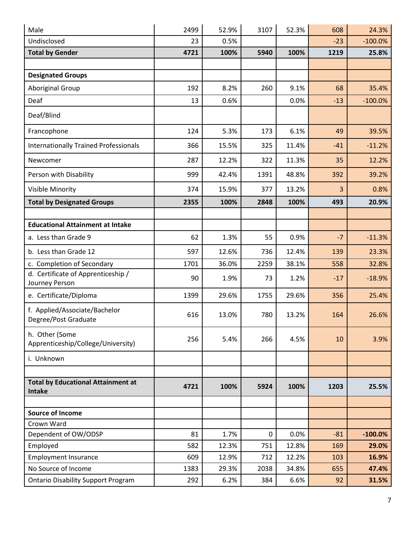| Male                                                  | 2499 | 52.9% | 3107 | 52.3% | 608   | 24.3%     |
|-------------------------------------------------------|------|-------|------|-------|-------|-----------|
| Undisclosed                                           | 23   | 0.5%  |      |       | $-23$ | $-100.0%$ |
| <b>Total by Gender</b>                                | 4721 | 100%  | 5940 | 100%  | 1219  | 25.8%     |
|                                                       |      |       |      |       |       |           |
| <b>Designated Groups</b>                              |      |       |      |       |       |           |
| <b>Aboriginal Group</b>                               | 192  | 8.2%  | 260  | 9.1%  | 68    | 35.4%     |
| Deaf                                                  | 13   | 0.6%  |      | 0.0%  | $-13$ | $-100.0%$ |
| Deaf/Blind                                            |      |       |      |       |       |           |
| Francophone                                           | 124  | 5.3%  | 173  | 6.1%  | 49    | 39.5%     |
| <b>Internationally Trained Professionals</b>          | 366  | 15.5% | 325  | 11.4% | $-41$ | $-11.2%$  |
| Newcomer                                              | 287  | 12.2% | 322  | 11.3% | 35    | 12.2%     |
| Person with Disability                                | 999  | 42.4% | 1391 | 48.8% | 392   | 39.2%     |
| Visible Minority                                      | 374  | 15.9% | 377  | 13.2% | 3     | 0.8%      |
| <b>Total by Designated Groups</b>                     | 2355 | 100%  | 2848 | 100%  | 493   | 20.9%     |
|                                                       |      |       |      |       |       |           |
| <b>Educational Attainment at Intake</b>               |      |       |      |       |       |           |
| a. Less than Grade 9                                  | 62   | 1.3%  | 55   | 0.9%  | $-7$  | $-11.3%$  |
| b. Less than Grade 12                                 | 597  | 12.6% | 736  | 12.4% | 139   | 23.3%     |
| c. Completion of Secondary                            | 1701 | 36.0% | 2259 | 38.1% | 558   | 32.8%     |
| d. Certificate of Apprenticeship /<br>Journey Person  | 90   | 1.9%  | 73   | 1.2%  | $-17$ | $-18.9%$  |
| e. Certificate/Diploma                                | 1399 | 29.6% | 1755 | 29.6% | 356   | 25.4%     |
| f. Applied/Associate/Bachelor<br>Degree/Post Graduate | 616  | 13.0% | 780  | 13.2% | 164   | 26.6%     |
| h. Other (Some<br>Apprenticeship/College/University)  | 256  | 5.4%  | 266  | 4.5%  | 10    | 3.9%      |
| i. Unknown                                            |      |       |      |       |       |           |
| <b>Total by Educational Attainment at</b><br>Intake   | 4721 | 100%  | 5924 | 100%  | 1203  | 25.5%     |
| <b>Source of Income</b>                               |      |       |      |       |       |           |
| Crown Ward                                            |      |       |      |       |       |           |
| Dependent of OW/ODSP                                  | 81   | 1.7%  | 0    | 0.0%  | $-81$ | $-100.0%$ |
| Employed                                              | 582  | 12.3% | 751  | 12.8% | 169   | 29.0%     |
| <b>Employment Insurance</b>                           | 609  | 12.9% | 712  | 12.2% | 103   | 16.9%     |
| No Source of Income                                   | 1383 | 29.3% | 2038 | 34.8% | 655   | 47.4%     |
| <b>Ontario Disability Support Program</b>             | 292  | 6.2%  | 384  | 6.6%  | 92    | 31.5%     |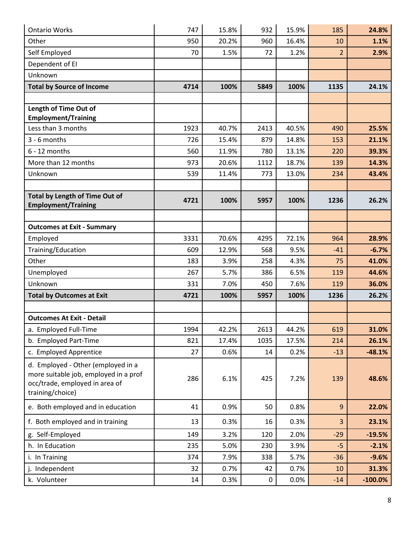| <b>Ontario Works</b>                                                                                                              | 747  | 15.8% | 932  | 15.9% | 185            | 24.8%      |
|-----------------------------------------------------------------------------------------------------------------------------------|------|-------|------|-------|----------------|------------|
| Other                                                                                                                             | 950  | 20.2% | 960  | 16.4% | 10             | 1.1%       |
| Self Employed                                                                                                                     | 70   | 1.5%  | 72   | 1.2%  | $\overline{2}$ | 2.9%       |
| Dependent of EI                                                                                                                   |      |       |      |       |                |            |
| Unknown                                                                                                                           |      |       |      |       |                |            |
| <b>Total by Source of Income</b>                                                                                                  | 4714 | 100%  | 5849 | 100%  | 1135           | 24.1%      |
|                                                                                                                                   |      |       |      |       |                |            |
| Length of Time Out of<br><b>Employment/Training</b>                                                                               |      |       |      |       |                |            |
| Less than 3 months                                                                                                                | 1923 | 40.7% | 2413 | 40.5% | 490            | 25.5%      |
| 3 - 6 months                                                                                                                      | 726  | 15.4% | 879  | 14.8% | 153            | 21.1%      |
| $6 - 12$ months                                                                                                                   | 560  | 11.9% | 780  | 13.1% | 220            | 39.3%      |
| More than 12 months                                                                                                               | 973  | 20.6% | 1112 | 18.7% | 139            | 14.3%      |
| Unknown                                                                                                                           | 539  | 11.4% | 773  | 13.0% | 234            | 43.4%      |
|                                                                                                                                   |      |       |      |       |                |            |
| Total by Length of Time Out of                                                                                                    | 4721 | 100%  | 5957 | 100%  | 1236           | 26.2%      |
| <b>Employment/Training</b>                                                                                                        |      |       |      |       |                |            |
| <b>Outcomes at Exit - Summary</b>                                                                                                 |      |       |      |       |                |            |
| Employed                                                                                                                          | 3331 | 70.6% | 4295 | 72.1% | 964            | 28.9%      |
| Training/Education                                                                                                                | 609  | 12.9% | 568  | 9.5%  | $-41$          | $-6.7%$    |
| Other                                                                                                                             | 183  | 3.9%  | 258  | 4.3%  | 75             | 41.0%      |
| Unemployed                                                                                                                        | 267  | 5.7%  | 386  | 6.5%  | 119            | 44.6%      |
| Unknown                                                                                                                           | 331  | 7.0%  | 450  | 7.6%  | 119            | 36.0%      |
| <b>Total by Outcomes at Exit</b>                                                                                                  | 4721 | 100%  | 5957 | 100%  | 1236           | 26.2%      |
|                                                                                                                                   |      |       |      |       |                |            |
| <b>Outcomes At Exit - Detail</b>                                                                                                  |      |       |      |       |                |            |
| a. Employed Full-Time                                                                                                             | 1994 | 42.2% | 2613 | 44.2% | 619            | 31.0%      |
| b. Employed Part-Time                                                                                                             | 821  | 17.4% | 1035 | 17.5% | 214            | 26.1%      |
| c. Employed Apprentice                                                                                                            | 27   | 0.6%  | 14   | 0.2%  | $-13$          | $-48.1%$   |
| d. Employed - Other (employed in a<br>more suitable job, employed in a prof<br>occ/trade, employed in area of<br>training/choice) | 286  | 6.1%  | 425  | 7.2%  | 139            | 48.6%      |
| e. Both employed and in education                                                                                                 | 41   | 0.9%  | 50   | 0.8%  | $\overline{9}$ | 22.0%      |
| f. Both employed and in training                                                                                                  | 13   | 0.3%  | 16   | 0.3%  | 3              | 23.1%      |
| g. Self-Employed                                                                                                                  | 149  | 3.2%  | 120  | 2.0%  | $-29$          | $-19.5%$   |
| h. In Education                                                                                                                   | 235  | 5.0%  | 230  | 3.9%  | $-5$           | $-2.1%$    |
| i. In Training                                                                                                                    | 374  | 7.9%  | 338  | 5.7%  | $-36$          | $-9.6%$    |
| j. Independent                                                                                                                    | 32   | 0.7%  | 42   | 0.7%  | 10             | 31.3%      |
| k. Volunteer                                                                                                                      | 14   | 0.3%  | 0    | 0.0%  | $-14$          | $-100.0\%$ |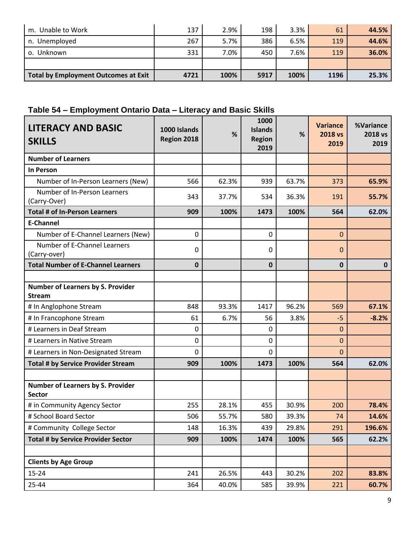| Unable to Work<br>m.                        | 137  | 2.9% | 198  | 3.3% | 61   | 44.5% |
|---------------------------------------------|------|------|------|------|------|-------|
| In. Unemployed                              | 267  | 5.7% | 386  | 6.5% | 119  | 44.6% |
| o. Unknown                                  | 331  | 7.0% | 450  | 7.6% | 119  | 36.0% |
|                                             |      |      |      |      |      |       |
| <b>Total by Employment Outcomes at Exit</b> | 4721 | 100% | 5917 | 100% | 1196 | 25.3% |

## **Table 54 – Employment Ontario Data – Literacy and Basic Skills**

| <b>LITERACY AND BASIC</b><br><b>SKILLS</b>                | 1000 Islands<br>Region 2018 | %     | 1000<br><b>Islands</b><br><b>Region</b><br>2019 | %     | <b>Variance</b><br>2018 vs<br>2019 | %Variance<br>2018 vs<br>2019 |
|-----------------------------------------------------------|-----------------------------|-------|-------------------------------------------------|-------|------------------------------------|------------------------------|
| <b>Number of Learners</b>                                 |                             |       |                                                 |       |                                    |                              |
| In Person                                                 |                             |       |                                                 |       |                                    |                              |
| Number of In-Person Learners (New)                        | 566                         | 62.3% | 939                                             | 63.7% | 373                                | 65.9%                        |
| Number of In-Person Learners<br>(Carry-Over)              | 343                         | 37.7% | 534                                             | 36.3% | 191                                | 55.7%                        |
| <b>Total # of In-Person Learners</b>                      | 909                         | 100%  | 1473                                            | 100%  | 564                                | 62.0%                        |
| <b>E-Channel</b>                                          |                             |       |                                                 |       |                                    |                              |
| Number of E-Channel Learners (New)                        | 0                           |       | 0                                               |       | $\mathbf{0}$                       |                              |
| Number of E-Channel Learners<br>(Carry-over)              | 0                           |       | 0                                               |       | $\mathbf 0$                        |                              |
| <b>Total Number of E-Channel Learners</b>                 | 0                           |       | $\mathbf 0$                                     |       | $\mathbf 0$                        | $\mathbf{0}$                 |
|                                                           |                             |       |                                                 |       |                                    |                              |
| Number of Learners by S. Provider<br><b>Stream</b>        |                             |       |                                                 |       |                                    |                              |
| # In Anglophone Stream                                    | 848                         | 93.3% | 1417                                            | 96.2% | 569                                | 67.1%                        |
| # In Francophone Stream                                   | 61                          | 6.7%  | 56                                              | 3.8%  | $-5$                               | $-8.2%$                      |
| # Learners in Deaf Stream                                 | 0                           |       | 0                                               |       | $\mathbf{0}$                       |                              |
| # Learners in Native Stream                               | 0                           |       | 0                                               |       | $\mathbf{0}$                       |                              |
| # Learners in Non-Designated Stream                       | 0                           |       | 0                                               |       | $\mathbf 0$                        |                              |
| <b>Total # by Service Provider Stream</b>                 | 909                         | 100%  | 1473                                            | 100%  | 564                                | 62.0%                        |
|                                                           |                             |       |                                                 |       |                                    |                              |
| <b>Number of Learners by S. Provider</b><br><b>Sector</b> |                             |       |                                                 |       |                                    |                              |
| # in Community Agency Sector                              | 255                         | 28.1% | 455                                             | 30.9% | 200                                | 78.4%                        |
| # School Board Sector                                     | 506                         | 55.7% | 580                                             | 39.3% | 74                                 | 14.6%                        |
| # Community College Sector                                | 148                         | 16.3% | 439                                             | 29.8% | 291                                | 196.6%                       |
| <b>Total # by Service Provider Sector</b>                 | 909                         | 100%  | 1474                                            | 100%  | 565                                | 62.2%                        |
|                                                           |                             |       |                                                 |       |                                    |                              |
| <b>Clients by Age Group</b>                               |                             |       |                                                 |       |                                    |                              |
| $15 - 24$                                                 | 241                         | 26.5% | 443                                             | 30.2% | 202                                | 83.8%                        |
| $25 - 44$                                                 | 364                         | 40.0% | 585                                             | 39.9% | 221                                | 60.7%                        |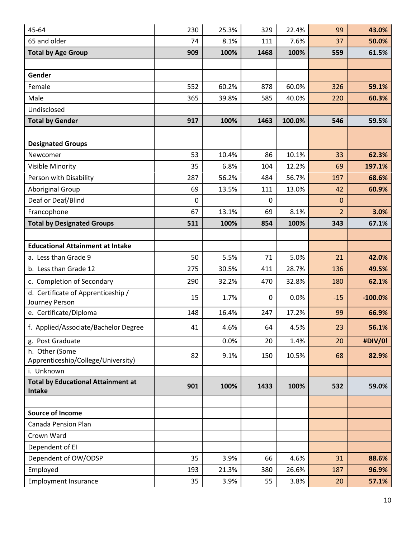| 45-64                                                | 230 | 25.3% | 329  | 22.4%  | 99             | 43.0%     |
|------------------------------------------------------|-----|-------|------|--------|----------------|-----------|
| 65 and older                                         | 74  | 8.1%  | 111  | 7.6%   | 37             | 50.0%     |
| <b>Total by Age Group</b>                            | 909 | 100%  | 1468 | 100%   | 559            | 61.5%     |
|                                                      |     |       |      |        |                |           |
| Gender                                               |     |       |      |        |                |           |
| Female                                               | 552 | 60.2% | 878  | 60.0%  | 326            | 59.1%     |
| Male                                                 | 365 | 39.8% | 585  | 40.0%  | 220            | 60.3%     |
| Undisclosed                                          |     |       |      |        |                |           |
| <b>Total by Gender</b>                               | 917 | 100%  | 1463 | 100.0% | 546            | 59.5%     |
|                                                      |     |       |      |        |                |           |
| <b>Designated Groups</b>                             |     |       |      |        |                |           |
| Newcomer                                             | 53  | 10.4% | 86   | 10.1%  | 33             | 62.3%     |
| Visible Minority                                     | 35  | 6.8%  | 104  | 12.2%  | 69             | 197.1%    |
| Person with Disability                               | 287 | 56.2% | 484  | 56.7%  | 197            | 68.6%     |
| <b>Aboriginal Group</b>                              | 69  | 13.5% | 111  | 13.0%  | 42             | 60.9%     |
| Deaf or Deaf/Blind                                   | 0   |       | 0    |        | $\mathbf 0$    |           |
| Francophone                                          | 67  | 13.1% | 69   | 8.1%   | $\overline{2}$ | 3.0%      |
| <b>Total by Designated Groups</b>                    | 511 | 100%  | 854  | 100%   | 343            | 67.1%     |
|                                                      |     |       |      |        |                |           |
| <b>Educational Attainment at Intake</b>              |     |       |      |        |                |           |
| a. Less than Grade 9                                 | 50  | 5.5%  | 71   | 5.0%   | 21             | 42.0%     |
| b. Less than Grade 12                                | 275 | 30.5% | 411  | 28.7%  | 136            | 49.5%     |
| c. Completion of Secondary                           | 290 | 32.2% | 470  | 32.8%  | 180            | 62.1%     |
| d. Certificate of Apprenticeship /                   | 15  | 1.7%  | 0    | 0.0%   | $-15$          | $-100.0%$ |
| Journey Person                                       |     |       |      |        |                |           |
| e. Certificate/Diploma                               | 148 | 16.4% | 247  | 17.2%  | 99             | 66.9%     |
| f. Applied/Associate/Bachelor Degree                 | 41  | 4.6%  | 64   | 4.5%   | 23             | 56.1%     |
| g. Post Graduate                                     |     | 0.0%  | 20   | 1.4%   | 20             | #DIV/0!   |
| h. Other (Some<br>Apprenticeship/College/University) | 82  | 9.1%  | 150  | 10.5%  | 68             | 82.9%     |
| i. Unknown                                           |     |       |      |        |                |           |
| <b>Total by Educational Attainment at</b>            |     |       |      |        |                |           |
| Intake                                               | 901 | 100%  | 1433 | 100%   | 532            | 59.0%     |
|                                                      |     |       |      |        |                |           |
| <b>Source of Income</b>                              |     |       |      |        |                |           |
| Canada Pension Plan                                  |     |       |      |        |                |           |
| Crown Ward                                           |     |       |      |        |                |           |
| Dependent of EI                                      |     |       |      |        |                |           |
| Dependent of OW/ODSP                                 | 35  | 3.9%  | 66   | 4.6%   | 31             | 88.6%     |
| Employed                                             | 193 | 21.3% | 380  | 26.6%  | 187            | 96.9%     |
| <b>Employment Insurance</b>                          | 35  | 3.9%  | 55   | 3.8%   | 20             | 57.1%     |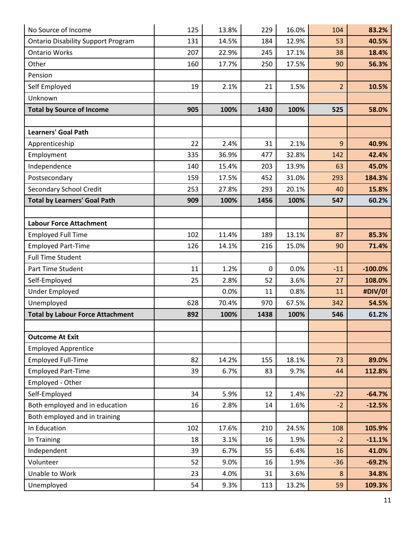| No Source of Income                       | 125 | 13.8% | 229  | 16.0% | 104            | 83.2%     |
|-------------------------------------------|-----|-------|------|-------|----------------|-----------|
| <b>Ontario Disability Support Program</b> | 131 | 14.5% | 184  | 12.9% | 53             | 40.5%     |
| <b>Ontario Works</b>                      | 207 | 22.9% | 245  | 17.1% | 38             | 18.4%     |
| Other                                     | 160 | 17.7% | 250  | 17.5% | 90             | 56.3%     |
| Pension                                   |     |       |      |       |                |           |
| Self Employed                             | 19  | 2.1%  | 21   | 1.5%  | $\overline{2}$ | 10.5%     |
| Unknown                                   |     |       |      |       |                |           |
| <b>Total by Source of Income</b>          | 905 | 100%  | 1430 | 100%  | 525            | 58.0%     |
|                                           |     |       |      |       |                |           |
| <b>Learners' Goal Path</b>                |     |       |      |       |                |           |
| Apprenticeship                            | 22  | 2.4%  | 31   | 2.1%  | 9              | 40.9%     |
| Employment                                | 335 | 36.9% | 477  | 32.8% | 142            | 42.4%     |
| Independence                              | 140 | 15.4% | 203  | 13.9% | 63             | 45.0%     |
| Postsecondary                             | 159 | 17.5% | 452  | 31.0% | 293            | 184.3%    |
| <b>Secondary School Credit</b>            | 253 | 27.8% | 293  | 20.1% | 40             | 15.8%     |
| <b>Total by Learners' Goal Path</b>       | 909 | 100%  | 1456 | 100%  | 547            | 60.2%     |
|                                           |     |       |      |       |                |           |
| <b>Labour Force Attachment</b>            |     |       |      |       |                |           |
| <b>Employed Full Time</b>                 | 102 | 11.4% | 189  | 13.1% | 87             | 85.3%     |
| <b>Employed Part-Time</b>                 | 126 | 14.1% | 216  | 15.0% | 90             | 71.4%     |
| <b>Full Time Student</b>                  |     |       |      |       |                |           |
| Part Time Student                         | 11  | 1.2%  | 0    | 0.0%  | $-11$          | $-100.0%$ |
| Self-Employed                             | 25  | 2.8%  | 52   | 3.6%  | 27             | 108.0%    |
| <b>Under Employed</b>                     |     | 0.0%  | 11   | 0.8%  | 11             | #DIV/0!   |
| Unemployed                                | 628 | 70.4% | 970  | 67.5% | 342            | 54.5%     |
| <b>Total by Labour Force Attachment</b>   | 892 | 100%  | 1438 | 100%  | 546            | 61.2%     |
|                                           |     |       |      |       |                |           |
| <b>Outcome At Exit</b>                    |     |       |      |       |                |           |
| <b>Employed Apprentice</b>                |     |       |      |       |                |           |
| <b>Employed Full-Time</b>                 | 82  | 14.2% | 155  | 18.1% | 73             | 89.0%     |
| <b>Employed Part-Time</b>                 | 39  | 6.7%  | 83   | 9.7%  | 44             | 112.8%    |
| Employed - Other                          |     |       |      |       |                |           |
| Self-Employed                             | 34  | 5.9%  | 12   | 1.4%  | $-22$          | $-64.7%$  |
| Both employed and in education            | 16  | 2.8%  | 14   | 1.6%  | $-2$           | $-12.5%$  |
| Both employed and in training             |     |       |      |       |                |           |
| In Education                              | 102 | 17.6% | 210  | 24.5% | 108            | 105.9%    |
| In Training                               | 18  | 3.1%  | 16   | 1.9%  | $-2$           | $-11.1%$  |
| Independent                               | 39  | 6.7%  | 55   | 6.4%  | 16             | 41.0%     |
| Volunteer                                 | 52  | 9.0%  | 16   | 1.9%  | $-36$          | $-69.2%$  |
| Unable to Work                            | 23  | 4.0%  | 31   | 3.6%  | 8              | 34.8%     |
| Unemployed                                | 54  | 9.3%  | 113  | 13.2% | 59             | 109.3%    |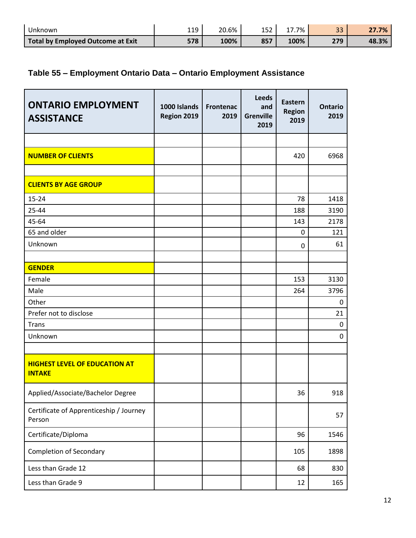| Unknown                           | 110<br>ᆠᆠ | 20.6% | 152 | 7%   | $\mathbf{a}$<br>ر ر | $7\%$ |
|-----------------------------------|-----------|-------|-----|------|---------------------|-------|
| Total by Employed Outcome at Exit | 578       | 100%  | 857 | 100% | 27Q                 | 48.3% |

## **Table 55 – Employment Ontario Data – Ontario Employment Assistance**

| <b>ONTARIO EMPLOYMENT</b><br><b>ASSISTANCE</b>        | 1000 Islands<br>Region 2019 | <b>Frontenac</b><br>2019 | <b>Leeds</b><br>and<br><b>Grenville</b><br>2019 | <b>Eastern</b><br><b>Region</b><br>2019 | <b>Ontario</b><br>2019 |
|-------------------------------------------------------|-----------------------------|--------------------------|-------------------------------------------------|-----------------------------------------|------------------------|
|                                                       |                             |                          |                                                 |                                         |                        |
| <b>NUMBER OF CLIENTS</b>                              |                             |                          |                                                 | 420                                     | 6968                   |
|                                                       |                             |                          |                                                 |                                         |                        |
| <b>CLIENTS BY AGE GROUP</b>                           |                             |                          |                                                 |                                         |                        |
| $15 - 24$                                             |                             |                          |                                                 | 78                                      | 1418                   |
| 25-44                                                 |                             |                          |                                                 | 188                                     | 3190                   |
| 45-64                                                 |                             |                          |                                                 | 143                                     | 2178                   |
| 65 and older                                          |                             |                          |                                                 | 0                                       | 121                    |
| Unknown                                               |                             |                          |                                                 | 0                                       | 61                     |
|                                                       |                             |                          |                                                 |                                         |                        |
| <b>GENDER</b>                                         |                             |                          |                                                 |                                         |                        |
| Female                                                |                             |                          |                                                 | 153                                     | 3130                   |
| Male                                                  |                             |                          |                                                 | 264                                     | 3796                   |
| Other                                                 |                             |                          |                                                 |                                         | 0                      |
| Prefer not to disclose                                |                             |                          |                                                 |                                         | 21                     |
| <b>Trans</b>                                          |                             |                          |                                                 |                                         | 0                      |
| Unknown                                               |                             |                          |                                                 |                                         | 0                      |
|                                                       |                             |                          |                                                 |                                         |                        |
| <b>HIGHEST LEVEL OF EDUCATION AT</b><br><b>INTAKE</b> |                             |                          |                                                 |                                         |                        |
| Applied/Associate/Bachelor Degree                     |                             |                          |                                                 | 36                                      | 918                    |
| Certificate of Apprenticeship / Journey<br>Person     |                             |                          |                                                 |                                         | 57                     |
| Certificate/Diploma                                   |                             |                          |                                                 | 96                                      | 1546                   |
| Completion of Secondary                               |                             |                          |                                                 | 105                                     | 1898                   |
| Less than Grade 12                                    |                             |                          |                                                 | 68                                      | 830                    |
| Less than Grade 9                                     |                             |                          |                                                 | 12                                      | 165                    |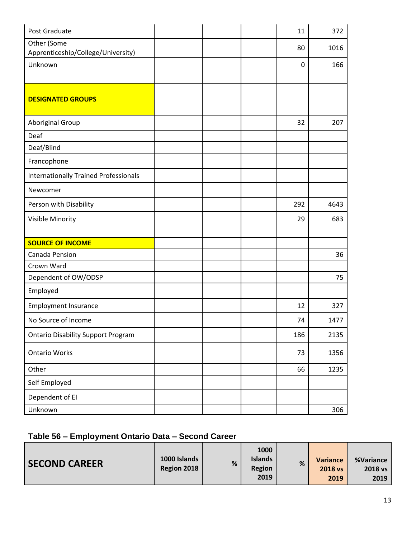| Post Graduate                                     |  | 11          | 372  |
|---------------------------------------------------|--|-------------|------|
| Other (Some<br>Apprenticeship/College/University) |  | 80          | 1016 |
| Unknown                                           |  | $\mathbf 0$ | 166  |
|                                                   |  |             |      |
| <b>DESIGNATED GROUPS</b>                          |  |             |      |
| Aboriginal Group                                  |  | 32          | 207  |
| Deaf                                              |  |             |      |
| Deaf/Blind                                        |  |             |      |
| Francophone                                       |  |             |      |
| <b>Internationally Trained Professionals</b>      |  |             |      |
| Newcomer                                          |  |             |      |
| Person with Disability                            |  | 292         | 4643 |
| Visible Minority                                  |  | 29          | 683  |
|                                                   |  |             |      |
| <b>SOURCE OF INCOME</b>                           |  |             |      |
| Canada Pension                                    |  |             | 36   |
| Crown Ward                                        |  |             |      |
| Dependent of OW/ODSP                              |  |             | 75   |
| Employed                                          |  |             |      |
| <b>Employment Insurance</b>                       |  | 12          | 327  |
| No Source of Income                               |  | 74          | 1477 |
| <b>Ontario Disability Support Program</b>         |  | 186         | 2135 |
| <b>Ontario Works</b>                              |  | 73          | 1356 |
| Other                                             |  | 66          | 1235 |
| Self Employed                                     |  |             |      |
| Dependent of EI                                   |  |             |      |
| Unknown                                           |  |             | 306  |

#### **Table 56 – Employment Ontario Data – Second Career**

| <b>SECOND CAREER</b> | 1000 Islands<br>Region 2018 | % | 1000<br><b>Islands</b><br><b>Region</b><br>2019 | % | Variance<br><b>2018 vs</b><br>2019 | %Variance<br>2018 vs<br>2019 |
|----------------------|-----------------------------|---|-------------------------------------------------|---|------------------------------------|------------------------------|
|----------------------|-----------------------------|---|-------------------------------------------------|---|------------------------------------|------------------------------|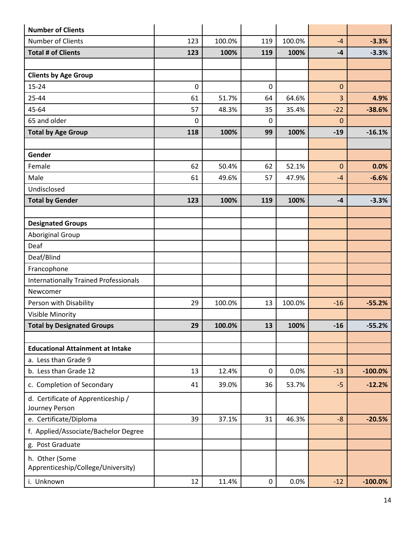| <b>Number of Clients</b>                             |           |        |                 |        |                  |            |
|------------------------------------------------------|-----------|--------|-----------------|--------|------------------|------------|
| Number of Clients                                    | 123       | 100.0% | 119             | 100.0% | $-4$             | $-3.3%$    |
| <b>Total # of Clients</b>                            | 123       | 100%   | 119             | 100%   | $-4$             | $-3.3%$    |
|                                                      |           |        |                 |        |                  |            |
| <b>Clients by Age Group</b>                          |           |        |                 |        |                  |            |
| $15 - 24$                                            | $\pmb{0}$ |        | $\mathbf 0$     |        | $\boldsymbol{0}$ |            |
| 25-44                                                | 61        | 51.7%  | 64              | 64.6%  | 3                | 4.9%       |
| 45-64                                                | 57        | 48.3%  | 35              | 35.4%  | $-22$            | $-38.6%$   |
| 65 and older                                         | 0         |        | 0               |        | $\mathbf 0$      |            |
| <b>Total by Age Group</b>                            | 118       | 100%   | 99              | 100%   | $-19$            | $-16.1%$   |
| Gender                                               |           |        |                 |        |                  |            |
| Female                                               | 62        | 50.4%  | 62              | 52.1%  | $\mathbf 0$      | 0.0%       |
| Male                                                 | 61        | 49.6%  | 57              | 47.9%  | $-4$             | $-6.6%$    |
| Undisclosed                                          |           |        |                 |        |                  |            |
| <b>Total by Gender</b>                               | 123       | 100%   | 119             | 100%   | $-4$             | $-3.3%$    |
|                                                      |           |        |                 |        |                  |            |
| <b>Designated Groups</b>                             |           |        |                 |        |                  |            |
| <b>Aboriginal Group</b>                              |           |        |                 |        |                  |            |
| Deaf                                                 |           |        |                 |        |                  |            |
| Deaf/Blind                                           |           |        |                 |        |                  |            |
| Francophone                                          |           |        |                 |        |                  |            |
| <b>Internationally Trained Professionals</b>         |           |        |                 |        |                  |            |
| Newcomer                                             |           |        |                 |        |                  |            |
| Person with Disability                               | 29        | 100.0% | 13              | 100.0% | $-16$            | $-55.2%$   |
| Visible Minority                                     |           |        |                 |        |                  |            |
| <b>Total by Designated Groups</b>                    | 29        | 100.0% | 13 <sup>7</sup> | 100%   | $-16$            | $-55.2%$   |
| <b>Educational Attainment at Intake</b>              |           |        |                 |        |                  |            |
| a. Less than Grade 9                                 |           |        |                 |        |                  |            |
| b. Less than Grade 12                                | 13        | 12.4%  | 0               | 0.0%   | $-13$            | $-100.0%$  |
| c. Completion of Secondary                           | 41        | 39.0%  | 36              | 53.7%  | $-5$             | $-12.2%$   |
| d. Certificate of Apprenticeship /<br>Journey Person |           |        |                 |        |                  |            |
| e. Certificate/Diploma                               | 39        | 37.1%  | 31              | 46.3%  | $-8$             | $-20.5%$   |
| f. Applied/Associate/Bachelor Degree                 |           |        |                 |        |                  |            |
| g. Post Graduate                                     |           |        |                 |        |                  |            |
| h. Other (Some<br>Apprenticeship/College/University) |           |        |                 |        |                  |            |
| i. Unknown                                           | 12        | 11.4%  | 0               | 0.0%   | $-12$            | $-100.0\%$ |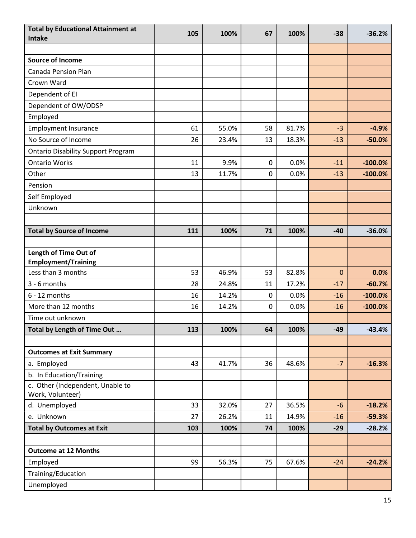| <b>Total by Educational Attainment at</b><br><b>Intake</b> | 105 | 100%  | 67        | 100%  | $-38$        | $-36.2%$  |
|------------------------------------------------------------|-----|-------|-----------|-------|--------------|-----------|
|                                                            |     |       |           |       |              |           |
| <b>Source of Income</b>                                    |     |       |           |       |              |           |
| Canada Pension Plan                                        |     |       |           |       |              |           |
| Crown Ward                                                 |     |       |           |       |              |           |
| Dependent of EI                                            |     |       |           |       |              |           |
| Dependent of OW/ODSP                                       |     |       |           |       |              |           |
| Employed                                                   |     |       |           |       |              |           |
| <b>Employment Insurance</b>                                | 61  | 55.0% | 58        | 81.7% | $-3$         | $-4.9%$   |
| No Source of Income                                        | 26  | 23.4% | 13        | 18.3% | $-13$        | $-50.0%$  |
| <b>Ontario Disability Support Program</b>                  |     |       |           |       |              |           |
| <b>Ontario Works</b>                                       | 11  | 9.9%  | $\pmb{0}$ | 0.0%  | $-11$        | $-100.0%$ |
| Other                                                      | 13  | 11.7% | 0         | 0.0%  | $-13$        | $-100.0%$ |
| Pension                                                    |     |       |           |       |              |           |
| Self Employed                                              |     |       |           |       |              |           |
| Unknown                                                    |     |       |           |       |              |           |
|                                                            |     |       |           |       |              |           |
| <b>Total by Source of Income</b>                           | 111 | 100%  | 71        | 100%  | $-40$        | $-36.0%$  |
|                                                            |     |       |           |       |              |           |
| Length of Time Out of<br><b>Employment/Training</b>        |     |       |           |       |              |           |
| Less than 3 months                                         | 53  | 46.9% | 53        | 82.8% | $\mathbf{0}$ | 0.0%      |
| 3 - 6 months                                               | 28  | 24.8% | 11        | 17.2% | $-17$        | $-60.7%$  |
| $6 - 12$ months                                            | 16  | 14.2% | 0         | 0.0%  | $-16$        | $-100.0%$ |
| More than 12 months                                        | 16  | 14.2% | 0         | 0.0%  | $-16$        | $-100.0%$ |
| Time out unknown                                           |     |       |           |       |              |           |
| Total by Length of Time Out                                | 113 | 100%  | 64        | 100%  | $-49$        | $-43.4%$  |
|                                                            |     |       |           |       |              |           |
| <b>Outcomes at Exit Summary</b>                            |     |       |           |       |              |           |
| a. Employed                                                | 43  | 41.7% | 36        | 48.6% | $-7$         | $-16.3%$  |
| b. In Education/Training                                   |     |       |           |       |              |           |
| c. Other (Independent, Unable to<br>Work, Volunteer)       |     |       |           |       |              |           |
| d. Unemployed                                              | 33  | 32.0% | 27        | 36.5% | $-6$         | $-18.2%$  |
| e. Unknown                                                 | 27  | 26.2% | 11        | 14.9% | $-16$        | $-59.3%$  |
| <b>Total by Outcomes at Exit</b>                           | 103 | 100%  | 74        | 100%  | $-29$        | $-28.2%$  |
|                                                            |     |       |           |       |              |           |
| <b>Outcome at 12 Months</b>                                |     |       |           |       |              |           |
| Employed                                                   | 99  | 56.3% | 75        | 67.6% | $-24$        | $-24.2%$  |
| Training/Education                                         |     |       |           |       |              |           |
| Unemployed                                                 |     |       |           |       |              |           |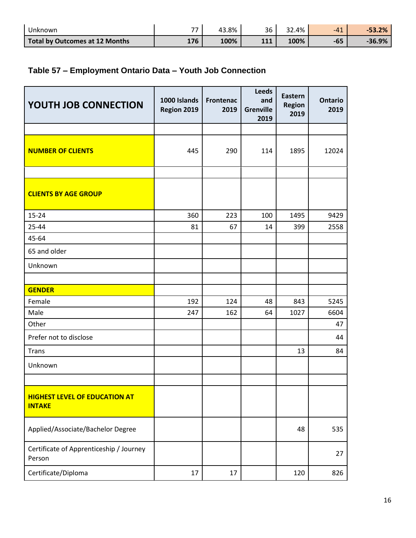| Unknown                        | --  | 43.8% | 36  | .4%<br>$\sim$ | $-41$ | $-53.2%$ |
|--------------------------------|-----|-------|-----|---------------|-------|----------|
| Total by Outcomes at 12 Months | 176 | 100%  | 111 | 100%          | $-65$ | $-36.9%$ |

#### **Table 57 – Employment Ontario Data – Youth Job Connection**

| YOUTH JOB CONNECTION                                  | 1000 Islands<br>Region 2019 | <b>Frontenac</b><br>2019 | <b>Leeds</b><br>and<br><b>Grenville</b><br>2019 | Eastern<br><b>Region</b><br>2019 | <b>Ontario</b><br>2019 |
|-------------------------------------------------------|-----------------------------|--------------------------|-------------------------------------------------|----------------------------------|------------------------|
|                                                       |                             |                          |                                                 |                                  |                        |
| <b>NUMBER OF CLIENTS</b>                              | 445                         | 290                      | 114                                             | 1895                             | 12024                  |
|                                                       |                             |                          |                                                 |                                  |                        |
| <b>CLIENTS BY AGE GROUP</b>                           |                             |                          |                                                 |                                  |                        |
| $15 - 24$                                             | 360                         | 223                      | 100                                             | 1495                             | 9429                   |
| 25-44                                                 | 81                          | 67                       | 14                                              | 399                              | 2558                   |
| 45-64                                                 |                             |                          |                                                 |                                  |                        |
| 65 and older                                          |                             |                          |                                                 |                                  |                        |
| Unknown                                               |                             |                          |                                                 |                                  |                        |
|                                                       |                             |                          |                                                 |                                  |                        |
| <b>GENDER</b>                                         |                             |                          |                                                 |                                  |                        |
| Female                                                | 192                         | 124                      | 48                                              | 843                              | 5245                   |
| Male                                                  | 247                         | 162                      | 64                                              | 1027                             | 6604                   |
| Other                                                 |                             |                          |                                                 |                                  | 47                     |
| Prefer not to disclose                                |                             |                          |                                                 |                                  | 44                     |
| <b>Trans</b>                                          |                             |                          |                                                 | 13                               | 84                     |
| Unknown                                               |                             |                          |                                                 |                                  |                        |
|                                                       |                             |                          |                                                 |                                  |                        |
| <b>HIGHEST LEVEL OF EDUCATION AT</b><br><b>INTAKE</b> |                             |                          |                                                 |                                  |                        |
| Applied/Associate/Bachelor Degree                     |                             |                          |                                                 | 48                               | 535                    |
| Certificate of Apprenticeship / Journey<br>Person     |                             |                          |                                                 |                                  | 27                     |
| Certificate/Diploma                                   | 17                          | 17                       |                                                 | 120                              | 826                    |